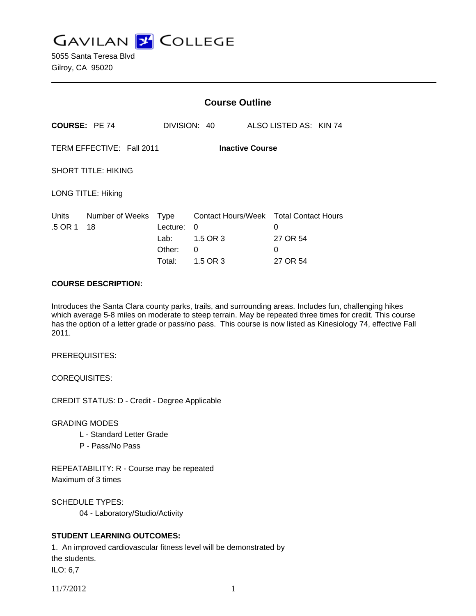**GAVILAN J COLLEGE** 

5055 Santa Teresa Blvd Gilroy, CA 95020

|                                                     |                       | <b>Course Outline</b>                               |                                                      |                                                              |
|-----------------------------------------------------|-----------------------|-----------------------------------------------------|------------------------------------------------------|--------------------------------------------------------------|
| <b>COURSE: PE 74</b>                                |                       |                                                     | DIVISION: 40                                         | ALSO LISTED AS: KIN 74                                       |
| TERM EFFECTIVE: Fall 2011<br><b>Inactive Course</b> |                       |                                                     |                                                      |                                                              |
| <b>SHORT TITLE: HIKING</b>                          |                       |                                                     |                                                      |                                                              |
| <b>LONG TITLE: Hiking</b>                           |                       |                                                     |                                                      |                                                              |
| Units<br>.5 OR 1                                    | Number of Weeks<br>18 | <b>Type</b><br>Lecture:<br>Lab:<br>Other:<br>Total: | Contact Hours/Week<br>0<br>1.5 OR 3<br>0<br>1.5 OR 3 | <b>Total Contact Hours</b><br>0<br>27 OR 54<br>0<br>27 OR 54 |

#### **COURSE DESCRIPTION:**

Introduces the Santa Clara county parks, trails, and surrounding areas. Includes fun, challenging hikes which average 5-8 miles on moderate to steep terrain. May be repeated three times for credit. This course has the option of a letter grade or pass/no pass. This course is now listed as Kinesiology 74, effective Fall 2011.

PREREQUISITES:

COREQUISITES:

CREDIT STATUS: D - Credit - Degree Applicable

GRADING MODES

- L Standard Letter Grade
- P Pass/No Pass

REPEATABILITY: R - Course may be repeated Maximum of 3 times

SCHEDULE TYPES:

04 - Laboratory/Studio/Activity

## **STUDENT LEARNING OUTCOMES:**

1. An improved cardiovascular fitness level will be demonstrated by the students. ILO: 6,7

11/7/2012 1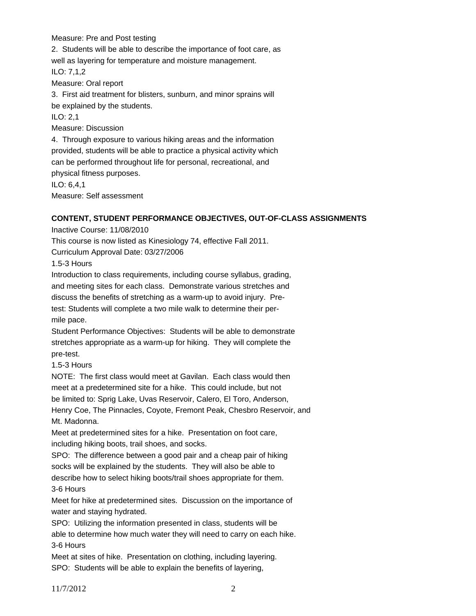Measure: Pre and Post testing

2. Students will be able to describe the importance of foot care, as well as layering for temperature and moisture management. ILO: 7,1,2 Measure: Oral report 3. First aid treatment for blisters, sunburn, and minor sprains will be explained by the students. ILO: 2,1 Measure: Discussion 4. Through exposure to various hiking areas and the information

provided, students will be able to practice a physical activity which can be performed throughout life for personal, recreational, and physical fitness purposes. ILO: 6,4,1

Measure: Self assessment

#### **CONTENT, STUDENT PERFORMANCE OBJECTIVES, OUT-OF-CLASS ASSIGNMENTS**

Inactive Course: 11/08/2010

This course is now listed as Kinesiology 74, effective Fall 2011.

Curriculum Approval Date: 03/27/2006

1.5-3 Hours

Introduction to class requirements, including course syllabus, grading, and meeting sites for each class. Demonstrate various stretches and discuss the benefits of stretching as a warm-up to avoid injury. Pretest: Students will complete a two mile walk to determine their permile pace.

Student Performance Objectives: Students will be able to demonstrate stretches appropriate as a warm-up for hiking. They will complete the pre-test.

1.5-3 Hours

NOTE: The first class would meet at Gavilan. Each class would then meet at a predetermined site for a hike. This could include, but not be limited to: Sprig Lake, Uvas Reservoir, Calero, El Toro, Anderson, Henry Coe, The Pinnacles, Coyote, Fremont Peak, Chesbro Reservoir, and Mt. Madonna.

Meet at predetermined sites for a hike. Presentation on foot care, including hiking boots, trail shoes, and socks.

SPO: The difference between a good pair and a cheap pair of hiking socks will be explained by the students. They will also be able to describe how to select hiking boots/trail shoes appropriate for them. 3-6 Hours

Meet for hike at predetermined sites. Discussion on the importance of water and staying hydrated.

SPO: Utilizing the information presented in class, students will be

able to determine how much water they will need to carry on each hike. 3-6 Hours

Meet at sites of hike. Presentation on clothing, including layering. SPO: Students will be able to explain the benefits of layering,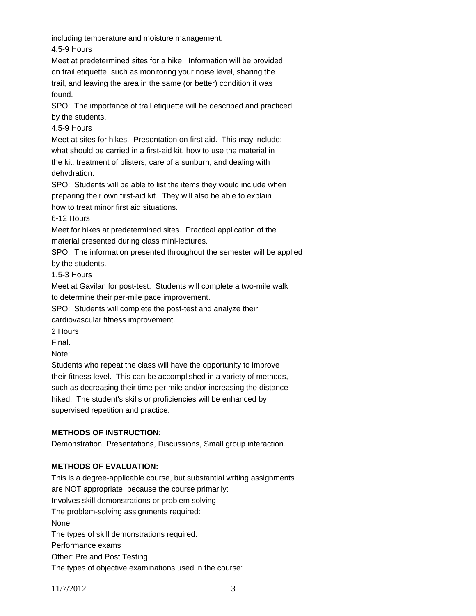including temperature and moisture management.

4.5-9 Hours

Meet at predetermined sites for a hike. Information will be provided on trail etiquette, such as monitoring your noise level, sharing the trail, and leaving the area in the same (or better) condition it was found.

SPO: The importance of trail etiquette will be described and practiced by the students.

4.5-9 Hours

Meet at sites for hikes. Presentation on first aid. This may include: what should be carried in a first-aid kit, how to use the material in the kit, treatment of blisters, care of a sunburn, and dealing with dehydration.

SPO: Students will be able to list the items they would include when preparing their own first-aid kit. They will also be able to explain how to treat minor first aid situations.

6-12 Hours

Meet for hikes at predetermined sites. Practical application of the material presented during class mini-lectures.

SPO: The information presented throughout the semester will be applied by the students.

1.5-3 Hours

Meet at Gavilan for post-test. Students will complete a two-mile walk to determine their per-mile pace improvement.

SPO: Students will complete the post-test and analyze their

cardiovascular fitness improvement.

2 Hours

Final.

Note:

Students who repeat the class will have the opportunity to improve their fitness level. This can be accomplished in a variety of methods, such as decreasing their time per mile and/or increasing the distance hiked. The student's skills or proficiencies will be enhanced by supervised repetition and practice.

# **METHODS OF INSTRUCTION:**

Demonstration, Presentations, Discussions, Small group interaction.

## **METHODS OF EVALUATION:**

This is a degree-applicable course, but substantial writing assignments are NOT appropriate, because the course primarily: Involves skill demonstrations or problem solving The problem-solving assignments required: None The types of skill demonstrations required: Performance exams Other: Pre and Post Testing The types of objective examinations used in the course: